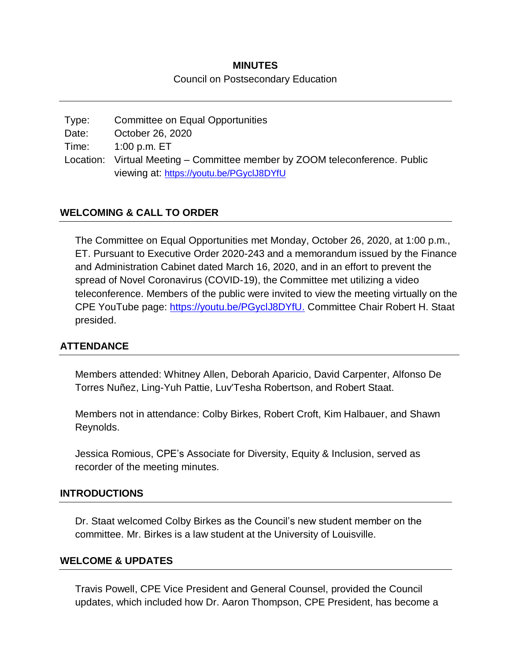### **MINUTES**

### Council on Postsecondary Education

| Type: | Committee on Equal Opportunities                                            |
|-------|-----------------------------------------------------------------------------|
| Date: | October 26, 2020                                                            |
| Time: | 1:00 p.m. ET                                                                |
|       | Location: Virtual Meeting – Committee member by ZOOM teleconference. Public |
|       | viewing at: https://youtu.be/PGyclJ8DYfU                                    |

## **WELCOMING & CALL TO ORDER**

The Committee on Equal Opportunities met Monday, October 26, 2020, at 1:00 p.m., ET. Pursuant to Executive Order 2020-243 and a memorandum issued by the Finance and Administration Cabinet dated March 16, 2020, and in an effort to prevent the spread of Novel Coronavirus (COVID-19), the Committee met utilizing a video teleconference. Members of the public were invited to view the meeting virtually on the CPE YouTube page: [https://youtu.be/PGyclJ8DYfU.](https://youtu.be/PGyclJ8DYfU) Committee Chair Robert H. Staat presided.

### **ATTENDANCE**

Members attended: Whitney Allen, Deborah Aparicio, David Carpenter, Alfonso De Torres Nuñez, Ling-Yuh Pattie, Luv'Tesha Robertson, and Robert Staat.

Members not in attendance: Colby Birkes, Robert Croft, Kim Halbauer, and Shawn Reynolds.

Jessica Romious, CPE's Associate for Diversity, Equity & Inclusion, served as recorder of the meeting minutes.

### **INTRODUCTIONS**

Dr. Staat welcomed Colby Birkes as the Council's new student member on the committee. Mr. Birkes is a law student at the University of Louisville.

### **WELCOME & UPDATES**

Travis Powell, CPE Vice President and General Counsel, provided the Council updates, which included how Dr. Aaron Thompson, CPE President, has become a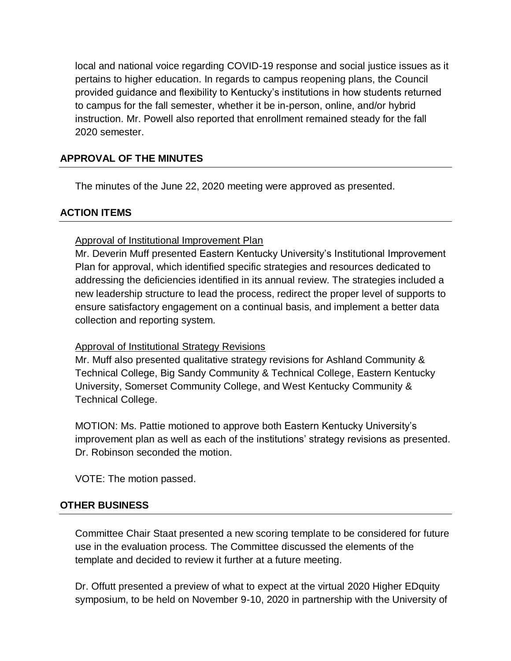local and national voice regarding COVID-19 response and social justice issues as it pertains to higher education. In regards to campus reopening plans, the Council provided guidance and flexibility to Kentucky's institutions in how students returned to campus for the fall semester, whether it be in-person, online, and/or hybrid instruction. Mr. Powell also reported that enrollment remained steady for the fall 2020 semester.

# **APPROVAL OF THE MINUTES**

The minutes of the June 22, 2020 meeting were approved as presented.

# **ACTION ITEMS**

### Approval of Institutional Improvement Plan

Mr. Deverin Muff presented Eastern Kentucky University's Institutional Improvement Plan for approval, which identified specific strategies and resources dedicated to addressing the deficiencies identified in its annual review. The strategies included a new leadership structure to lead the process, redirect the proper level of supports to ensure satisfactory engagement on a continual basis, and implement a better data collection and reporting system.

## Approval of Institutional Strategy Revisions

Mr. Muff also presented qualitative strategy revisions for Ashland Community & Technical College, Big Sandy Community & Technical College, Eastern Kentucky University, Somerset Community College, and West Kentucky Community & Technical College.

MOTION: Ms. Pattie motioned to approve both Eastern Kentucky University's improvement plan as well as each of the institutions' strategy revisions as presented. Dr. Robinson seconded the motion.

VOTE: The motion passed.

## **OTHER BUSINESS**

Committee Chair Staat presented a new scoring template to be considered for future use in the evaluation process. The Committee discussed the elements of the template and decided to review it further at a future meeting.

Dr. Offutt presented a preview of what to expect at the virtual 2020 Higher EDquity symposium, to be held on November 9-10, 2020 in partnership with the University of